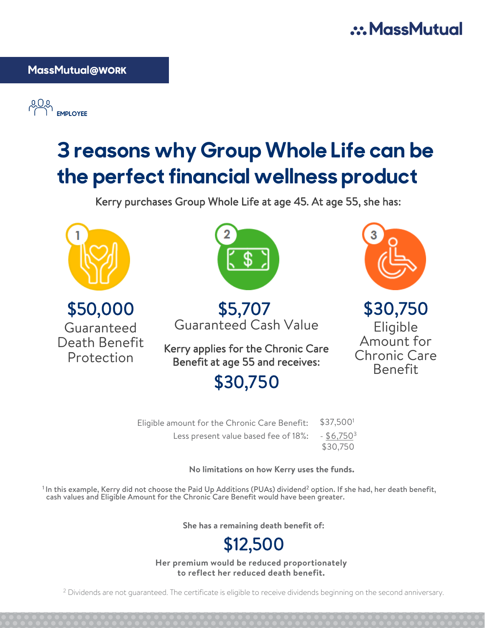## .: MassMutual

### **MassMutual@WORK**

**EMPLOYEE** 

# **3 reasons why Group Whole Life can be the perfect financial wellness product**

Kerry purchases Group Whole Life at age 45. At age 55, she has:



\$50,000 Guaranteed Death Benefit Protection



\$5,707 Guaranteed Cash Value

Kerry applies for the Chronic Care Benefit at age 55 and receives:



\$30,750 Eligible Amount for Chronic Care Benefit

| \$30,750 |  |
|----------|--|
|          |  |

| Eligible amount for the Chronic Care Benefit: | \$37,5001                |
|-----------------------------------------------|--------------------------|
| Less present value based fee of 18%:          | $-$ \$6,750 <sup>3</sup> |
|                                               | \$30,750                 |

**No limitations on how Kerry uses the funds.**

 $^1$ In this example, Kerry did not choose the Paid Up Additions (PUAs) dividend $^2$  option. If she had, her death benefit, cash values and Eligible Amount for the Chronic Care Benefit would have been greater.

**She has a remaining death benefit of:**

## \$12,500

**Her premium would be reduced proportionately to reflect her reduced death benefit.**

<sup>2</sup> Dividends are not guaranteed. The certificate is eligible to receive dividends beginning on the second anniversary.